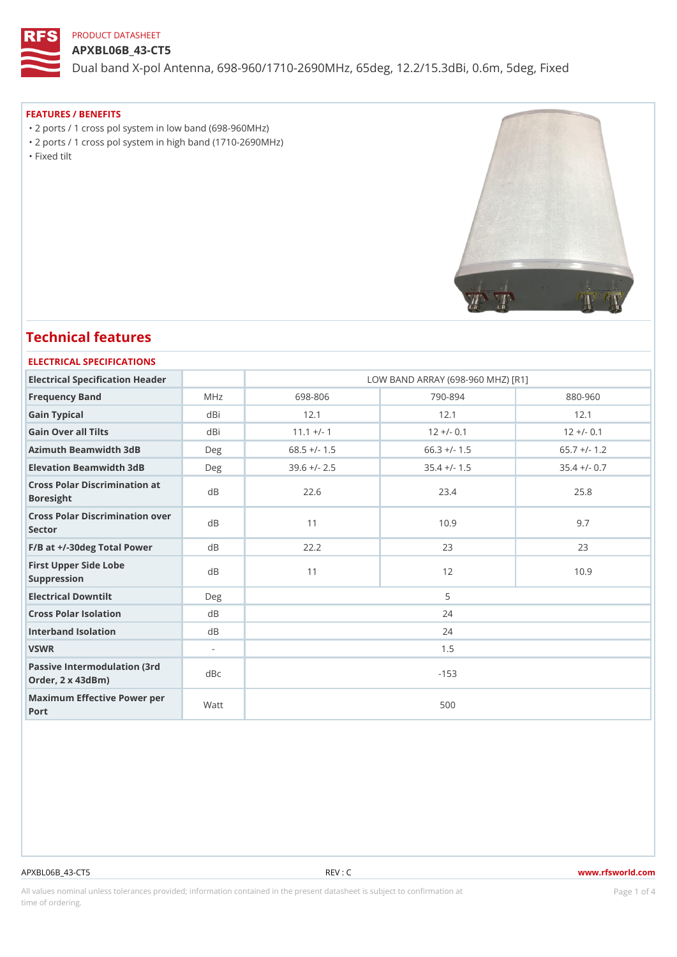## APXBL06B\_43-CT5

Dual band X-pol Antenna, 698-960/1710-2690MHz, 65deg, 12.2/15.3dBi

## FEATURES / BENEFITS

 "2 ports / 1 cross pol system in low band (698-960MHz) "2 ports / 1 cross pol system in high band (1710-2690MHz) "Fixed tilt

## Technical features

#### ELECTRICAL SPECIFICATIONS

| Electrical Specification Header                       |                | LOW BAND ARRAY (698-960 MHZ) [R1] |                |                |  |  |  |
|-------------------------------------------------------|----------------|-----------------------------------|----------------|----------------|--|--|--|
| Frequency Band                                        | MHz            | 698-806                           | $790 - 894$    | $880 - 960$    |  |  |  |
| Gain Typical                                          | dBi            | 12.1                              | 12.1           | 12.1           |  |  |  |
| Gain Over all Tilts                                   | dBi            | $11.1 + (-1)$                     | $12 + (-0.1$   | $12 + (-0.1$   |  |  |  |
| Azimuth Beamwidth 3dB                                 | $D$ e q        | $68.5$ +/- 1.5                    | $66.3$ +/- 1.5 | $65.7$ +/- 1.2 |  |  |  |
| Elevation Beamwidth 3dB                               | Deg            | $39.6$ +/- 2.5                    | $35.4$ +/- 1.5 | $35.4$ +/- 0.7 |  |  |  |
| Cross Polar Discrimination at<br>Boresight            |                | 22.6                              | 23.4           | 25.8           |  |  |  |
| Cross Polar Discrimination over<br>Sector             |                | 11                                | 10.9           | 9.7            |  |  |  |
| $F/B$ at $+/-30$ deg Total Powerd B                   |                | 22.2                              | 23             | 23             |  |  |  |
| First Upper Side Lobe<br>Suppression                  | $d$ B          | 11                                | 12             | 10.9           |  |  |  |
| Electrical Downtilt                                   | Deg            | 5                                 |                |                |  |  |  |
| Cross Polar Isolation                                 | $d$ B          | 24                                |                |                |  |  |  |
| Interband Isolation                                   | d B            | 24                                |                |                |  |  |  |
| VSWR                                                  | $\blacksquare$ | 1.5                               |                |                |  |  |  |
| Passive Intermodulation (3rd dBc<br>Order, 2 x 43dBm) |                | $-153$                            |                |                |  |  |  |
| Maximum Effective Power per<br>Port                   |                | 500                               |                |                |  |  |  |

#### APXBL06B\_43-CT5 REV : C www.rfsworld.com

All values nominal unless tolerances provided; information contained in the present datasheet is subject to Pcaogneion finaltion time of ordering.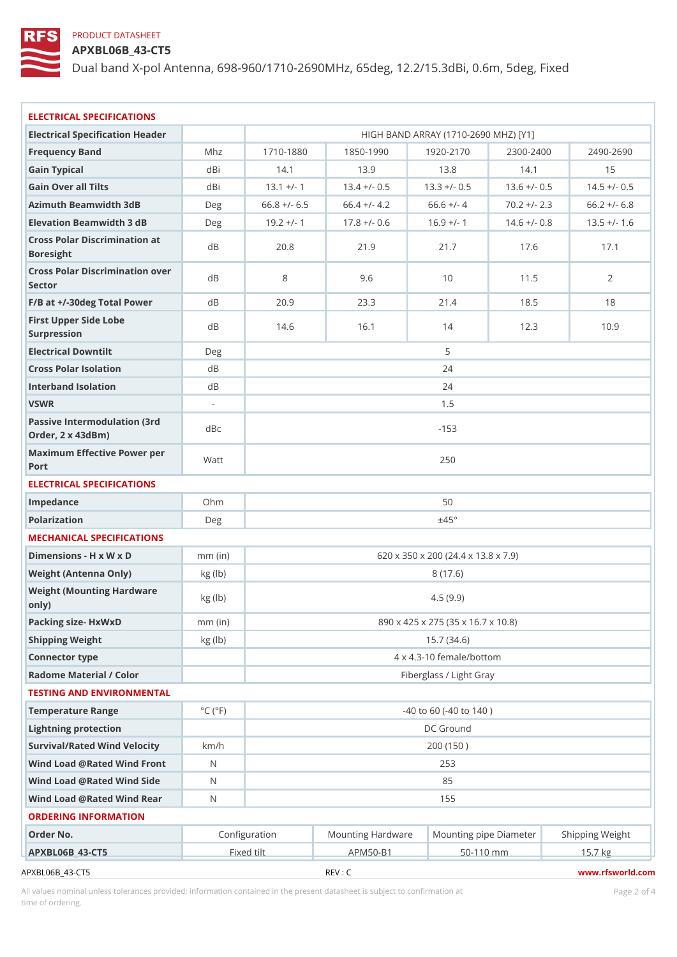APXBL06B\_43-CT5

Dual band X-pol Antenna, 698-960/1710-2690MHz, 65deg, 12.2/15.3dBi

| ELECTRICAL SPECIFICATIONS                             |                             |                                     |               |                                      |               |                                                                  |  |  |  |
|-------------------------------------------------------|-----------------------------|-------------------------------------|---------------|--------------------------------------|---------------|------------------------------------------------------------------|--|--|--|
| Electrical Specification Header                       |                             |                                     |               | HIGH BAND ARRAY (1710-2690 MHZ) [Y1] |               |                                                                  |  |  |  |
| Frequency Band                                        | Mhz                         | $1710 - 1880$                       | $1850 - 1990$ | $1920 - 2170$                        | $2300 - 2400$ | $2490 - 2690$                                                    |  |  |  |
| Gain Typical                                          | dBi                         | 14.1                                | 13.9          | 13.8                                 | 14.1          | 15                                                               |  |  |  |
| Gain Over all Tilts                                   | dBi                         | $13.1 +/-$                          |               |                                      |               | $13.4 + (-0.513.3 + (-0.513.6 + (-0.514.5 + (-0.514.5))$         |  |  |  |
| Azimuth Beamwidth 3dB                                 | Deg                         |                                     |               |                                      |               | $66.8 +/- 6.5 66.4 +/- 4.2 66.6 +/- 4 70.2 +/- 2.3 66.2 +/- 6.8$ |  |  |  |
| Elevation Beamwidth 3 dB                              | Deg                         | $19.2 +/-$                          |               | $17.8 +/- 0.6$ 16.9 +/-              |               | $14.6 + (-0.8 13.5 + (-1) 6$                                     |  |  |  |
| Cross Polar Discrimination at                         |                             |                                     |               |                                      |               |                                                                  |  |  |  |
| Boresight                                             |                             | 20.8                                | 21.9          | 21.7                                 | 17.6          | 17.1                                                             |  |  |  |
| Cross Polar Discrimination over<br>Sector             |                             | 8                                   | 9.6           | 10                                   | 11.5          | $\overline{2}$                                                   |  |  |  |
| $F/B$ at $+/-30$ deg Total Powerd B                   |                             | 20.9                                | 23.3          | 21.4                                 | 18.5          | 18                                                               |  |  |  |
| First Upper Side Lobe<br>Surpression                  | d B                         | 14.6                                | 16.1          | 14                                   | 12.3          | 10.9                                                             |  |  |  |
| Electrical Downtilt                                   | Deg                         |                                     |               | 5                                    |               |                                                                  |  |  |  |
| Cross Polar Isolation                                 | d B                         | 24                                  |               |                                      |               |                                                                  |  |  |  |
| Interband Isolation                                   | d B                         |                                     | 24            |                                      |               |                                                                  |  |  |  |
| VSWR                                                  | $\blacksquare$              |                                     | 1.5           |                                      |               |                                                                  |  |  |  |
| Passive Intermodulation (3rd dBc<br>Order, 2 x 43dBm) |                             |                                     | $-153$        |                                      |               |                                                                  |  |  |  |
| Maximum Effective Power per<br>Port                   |                             | 250                                 |               |                                      |               |                                                                  |  |  |  |
| ELECTRICAL SPECIFICATIONS                             |                             |                                     |               |                                      |               |                                                                  |  |  |  |
| Impedance                                             | Ohm                         | 50                                  |               |                                      |               |                                                                  |  |  |  |
| Polarization                                          | Deg                         | ±45°                                |               |                                      |               |                                                                  |  |  |  |
| MECHANICAL SPECIFICATIONS                             |                             |                                     |               |                                      |               |                                                                  |  |  |  |
| Dimensions - H x W x D                                | $mm$ (in)                   | 620 x 350 x 200 (24.4 x 13.8 x 7.9) |               |                                      |               |                                                                  |  |  |  |
| Weight (Antenna Only)                                 | kg(lb)                      |                                     | 8(17.6)       |                                      |               |                                                                  |  |  |  |
| Weight (Mounting Hardware kg (lb)<br>0nly)            |                             | 4.5(9.9)                            |               |                                      |               |                                                                  |  |  |  |
| Packing size- HxWxD                                   | $mm$ (in)                   | 890 x 425 x 275 (35 x 16.7 x 10.8)  |               |                                      |               |                                                                  |  |  |  |
| Shipping Weight                                       | kg (lb)                     | 15.7(34.6)                          |               |                                      |               |                                                                  |  |  |  |
| Connector type                                        |                             | 4 x 4.3-10 female/bottom            |               |                                      |               |                                                                  |  |  |  |
| Radome Material / Color                               |                             | Fiberglass / Light Gray             |               |                                      |               |                                                                  |  |  |  |
| TESTING AND ENVIRONMENTAL                             |                             |                                     |               |                                      |               |                                                                  |  |  |  |
| Temperature Range                                     | $^{\circ}$ C ( $^{\circ}$ F | $-40$ to 60 ( $-40$ to 140)         |               |                                      |               |                                                                  |  |  |  |
| Lightning protection                                  |                             | DC Ground                           |               |                                      |               |                                                                  |  |  |  |
| Survival/Rated Wind Velocikm/h                        |                             |                                     | 200 (150)     |                                      |               |                                                                  |  |  |  |
| Wind Load @ Rated Wind FroNt                          |                             |                                     |               | 253                                  |               |                                                                  |  |  |  |
| Wind Load @ Rated Wind Sidd                           |                             |                                     |               | 85                                   |               |                                                                  |  |  |  |
| Wind Load @ Rated Wind ReaN                           |                             |                                     | 155           |                                      |               |                                                                  |  |  |  |
| ORDERING INFORMATION                                  |                             |                                     |               |                                      |               |                                                                  |  |  |  |
| Order No.                                             |                             | Configuration                       |               |                                      |               | Mounting HardwaMeunting pipe DiameStheirpping Weight             |  |  |  |
| APXBL06B 43-CT5                                       |                             | Fixed tilt                          | APM50-B1      |                                      | 50-110 mm     | 15.7 kg                                                          |  |  |  |
| APXBL06B_43-CT5                                       |                             |                                     | REV : C       |                                      |               | www.rfsworld.cor                                                 |  |  |  |

All values nominal unless tolerances provided; information contained in the present datasheet is subject to Pcapgéio $2$ fnattio time of ordering.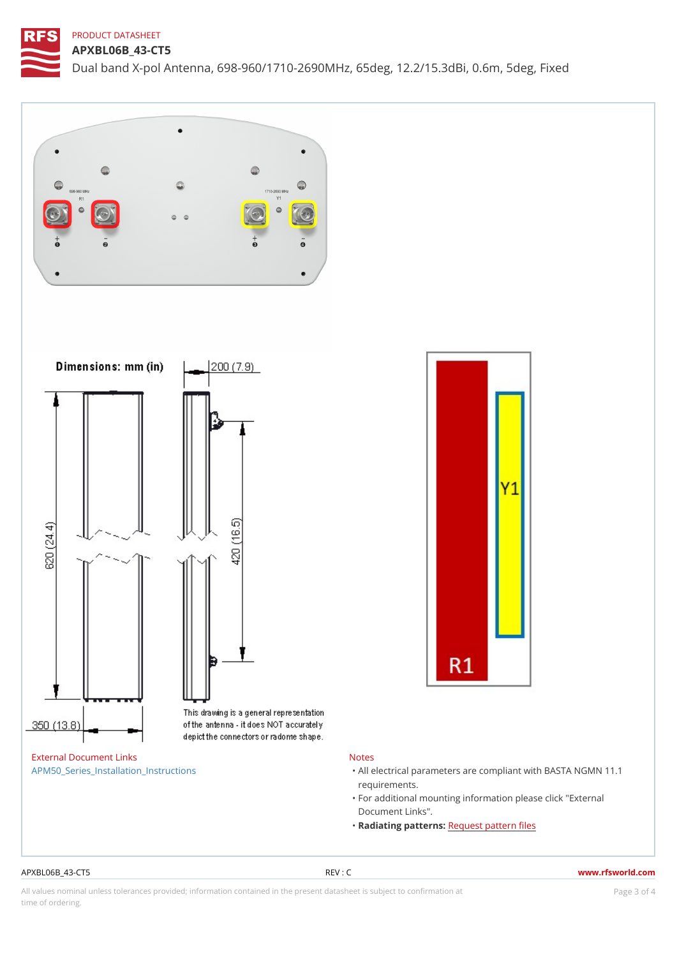APXBL06B\_43-CT5 Dual band X-pol Antenna, 698-960/1710-2690MHz, 65deg, 12.2/15.3dBi

#### External Document Links [APM50\\_Series\\_Installatio](https://www.rfsworld.com/images/base_station_antennas/rfs_mounting_kits_apm50/10000022051_apm50-b1.pdf)n\_Instructions

## Notes

- "All electrical parameters are compliant with  $\mathbb{B}AS^T$ requirements.
- "For additional mounting information please click Document Links".
- "Radiating pattRemasest pattern files

### APXBL06B\_43-CT5 REV : C www.rfsworld.com

All values nominal unless tolerances provided; information contained in the present datasheet is subject to PcapgéinGM attional time of ordering.